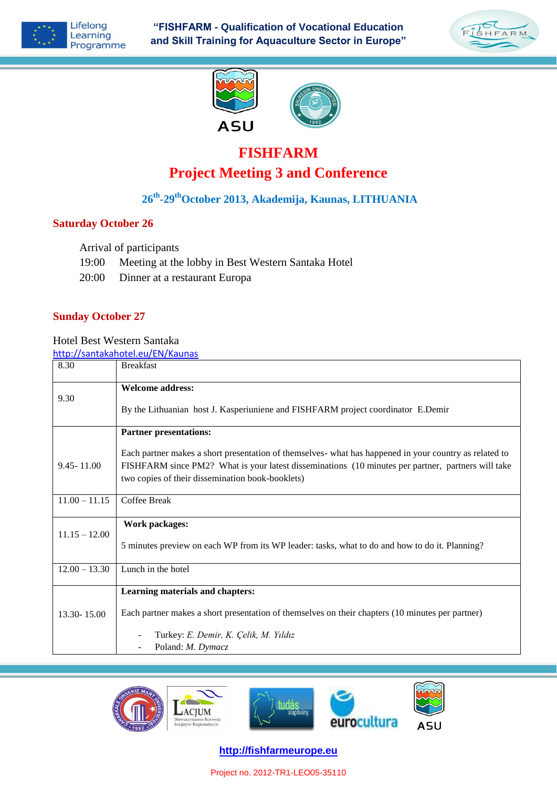

**"FISHFARM - Qualification of Vocational Education and Skill Training for Aquaculture Sector in Europe"**







# **FISHFARM Project Meeting 3 and Conference**

## **26th -29thOctober 2013, Akademija, Kaunas, LITHUANIA**

### **Saturday October 26**

Arrival of participants

- 19:00 Meeting at the lobby in Best Western Santaka Hotel
- 20:00 Dinner at a restaurant Europa

#### **Sunday October 27**

Hotel Best Western Santaka

<http://santakahotel.eu/EN/Kaunas>

| 8.30            | <b>Breakfast</b>                                                                                                                                                                                                                                                 |
|-----------------|------------------------------------------------------------------------------------------------------------------------------------------------------------------------------------------------------------------------------------------------------------------|
| 9.30            | <b>Welcome address:</b>                                                                                                                                                                                                                                          |
|                 | By the Lithuanian host J. Kasperiuniene and FISHFARM project coordinator E.Demir                                                                                                                                                                                 |
|                 | <b>Partner presentations:</b>                                                                                                                                                                                                                                    |
| $9.45 - 11.00$  | Each partner makes a short presentation of themselves- what has happened in your country as related to<br>FISHFARM since PM2? What is your latest disseminations (10 minutes per partner, partners will take<br>two copies of their dissemination book-booklets) |
| $11.00 - 11.15$ | Coffee Break                                                                                                                                                                                                                                                     |
| $11.15 - 12.00$ | Work packages:                                                                                                                                                                                                                                                   |
|                 | 5 minutes preview on each WP from its WP leader: tasks, what to do and how to do it. Planning?                                                                                                                                                                   |
| $12.00 - 13.30$ | Lunch in the hotel                                                                                                                                                                                                                                               |
|                 | Learning materials and chapters:                                                                                                                                                                                                                                 |
| 13.30 - 15.00   | Each partner makes a short presentation of themselves on their chapters (10 minutes per partner)                                                                                                                                                                 |
|                 | Turkey: E. Demir, K. Çelik, M. Yıldız                                                                                                                                                                                                                            |
|                 | Poland: M. Dymacz                                                                                                                                                                                                                                                |



**http://fishfarmeurope.eu**

Project no. 2012-TR1-LEO05-35110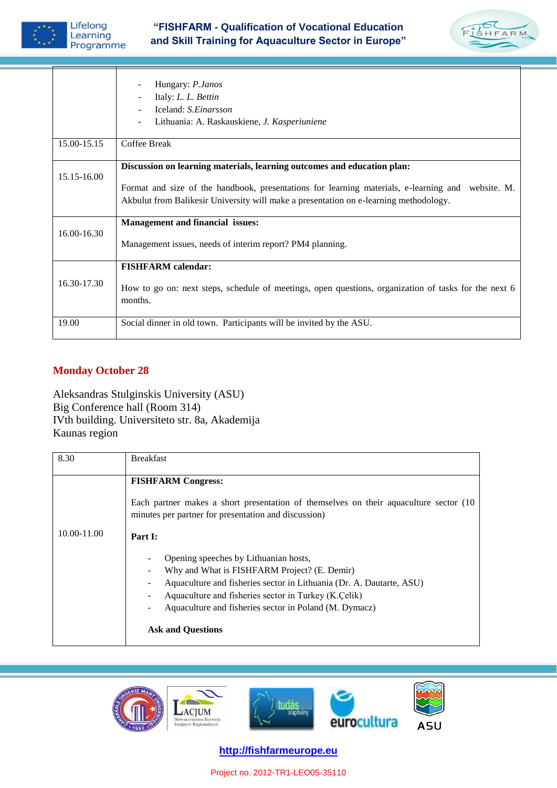

## **"FISHFARM - Qualification of Vocational Education and Skill Training for Aquaculture Sector in Europe"**



|             | Hungary: P.Janos<br>Italy: L. L. Bettin<br>Iceland: S.Einarsson<br>Lithuania: A. Raskauskiene, J. Kasperiuniene                                                                                                                                                       |
|-------------|-----------------------------------------------------------------------------------------------------------------------------------------------------------------------------------------------------------------------------------------------------------------------|
| 15.00-15.15 | Coffee Break                                                                                                                                                                                                                                                          |
| 15.15-16.00 | Discussion on learning materials, learning outcomes and education plan:<br>Format and size of the handbook, presentations for learning materials, e-learning and website. M.<br>Akbulut from Balikesir University will make a presentation on e-learning methodology. |
| 16.00-16.30 | <b>Management and financial issues:</b><br>Management issues, needs of interim report? PM4 planning.                                                                                                                                                                  |
| 16.30-17.30 | <b>FISHFARM</b> calendar:<br>How to go on: next steps, schedule of meetings, open questions, organization of tasks for the next 6<br>months.                                                                                                                          |
| 19.00       | Social dinner in old town. Participants will be invited by the ASU.                                                                                                                                                                                                   |

## **Monday October 28**

Aleksandras Stulginskis University (ASU) Big Conference hall (Room 314) IVth building. Universiteto str. 8a, Akademija Kaunas region

| 8.30            | <b>Breakfast</b>                                                                                                                                                                                                                                                                                            |
|-----------------|-------------------------------------------------------------------------------------------------------------------------------------------------------------------------------------------------------------------------------------------------------------------------------------------------------------|
|                 | <b>FISHFARM Congress:</b>                                                                                                                                                                                                                                                                                   |
|                 | Each partner makes a short presentation of themselves on their aquaculture sector (10)<br>minutes per partner for presentation and discussion)                                                                                                                                                              |
| $10.00 - 11.00$ | Part I:                                                                                                                                                                                                                                                                                                     |
|                 | Opening speeches by Lithuanian hosts,<br>Why and What is FISHFARM Project? (E. Demir)<br>Aquaculture and fisheries sector in Lithuania (Dr. A. Dautarte, ASU)<br>Aquaculture and fisheries sector in Turkey (K.Celik)<br>Aquaculture and fisheries sector in Poland (M. Dymacz)<br><b>Ask and Questions</b> |



**http://fishfarmeurope.eu**

Project no. 2012-TR1-LEO05-35110